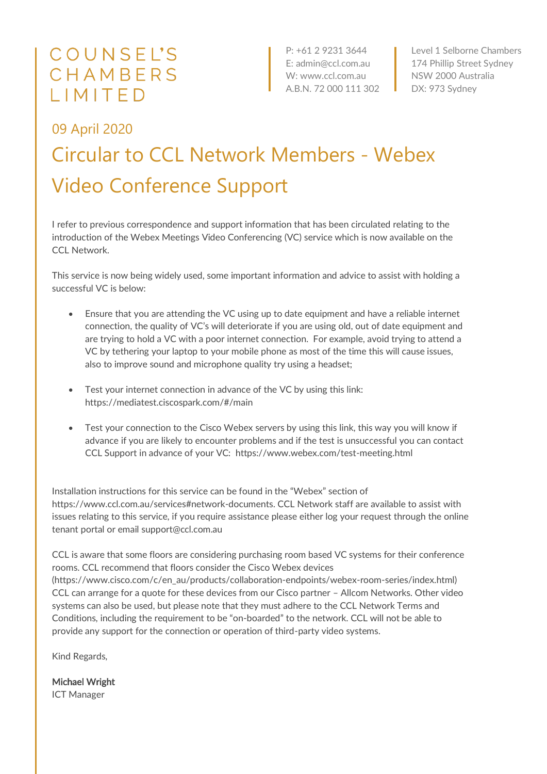## COUNSEL'S CHAMBERS LIMITED

P: +61 2 9231 3644 E: admin@ccl.com.au W: www.ccl.com.au A.B.N. 72 000 111 302

Level 1 Selborne Chambers 174 Phillip Street Sydney NSW 2000 Australia DX: 973 Sydney

## 09 April 2020 Circular to CCL Network Members - Webex Video Conference Support

I refer to previous correspondence and support information that has been circulated relating to the introduction of the Webex Meetings Video Conferencing (VC) service which is now available on the CCL Network.

This service is now being widely used, some important information and advice to assist with holding a successful VC is below:

- Ensure that you are attending the VC using up to date equipment and have a reliable internet connection, the quality of VC's will deteriorate if you are using old, out of date equipment and are trying to hold a VC with a poor internet connection. For example, avoid trying to attend a VC by tethering your laptop to your mobile phone as most of the time this will cause issues, also to improve sound and microphone quality try using a headset;
- Test your internet connection in advance of the VC by using this link: https://mediatest.ciscospark.com/#/main
- Test your connection to the Cisco Webex servers by using this link, this way you will know if advance if you are likely to encounter problems and if the test is unsuccessful you can contact CCL Support in advance of your VC: https://www.webex.com/test-meeting.html

Installation instructions for this service can be found in the "Webex" section of https://www.ccl.com.au/services#network-documents. CCL Network staff are available to assist with issues relating to this service, if you require assistance please either log your request through the online tenant portal or email support@ccl.com.au

CCL is aware that some floors are considering purchasing room based VC systems for their conference rooms. CCL recommend that floors consider the Cisco Webex devices (https://www.cisco.com/c/en\_au/products/collaboration-endpoints/webex-room-series/index.html) CCL can arrange for a quote for these devices from our Cisco partner – Allcom Networks. Other video systems can also be used, but please note that they must adhere to the CCL Network Terms and Conditions, including the requirement to be "on-boarded" to the network. CCL will not be able to provide any support for the connection or operation of third-party video systems.

Kind Regards,

Michael Wright ICT Manager